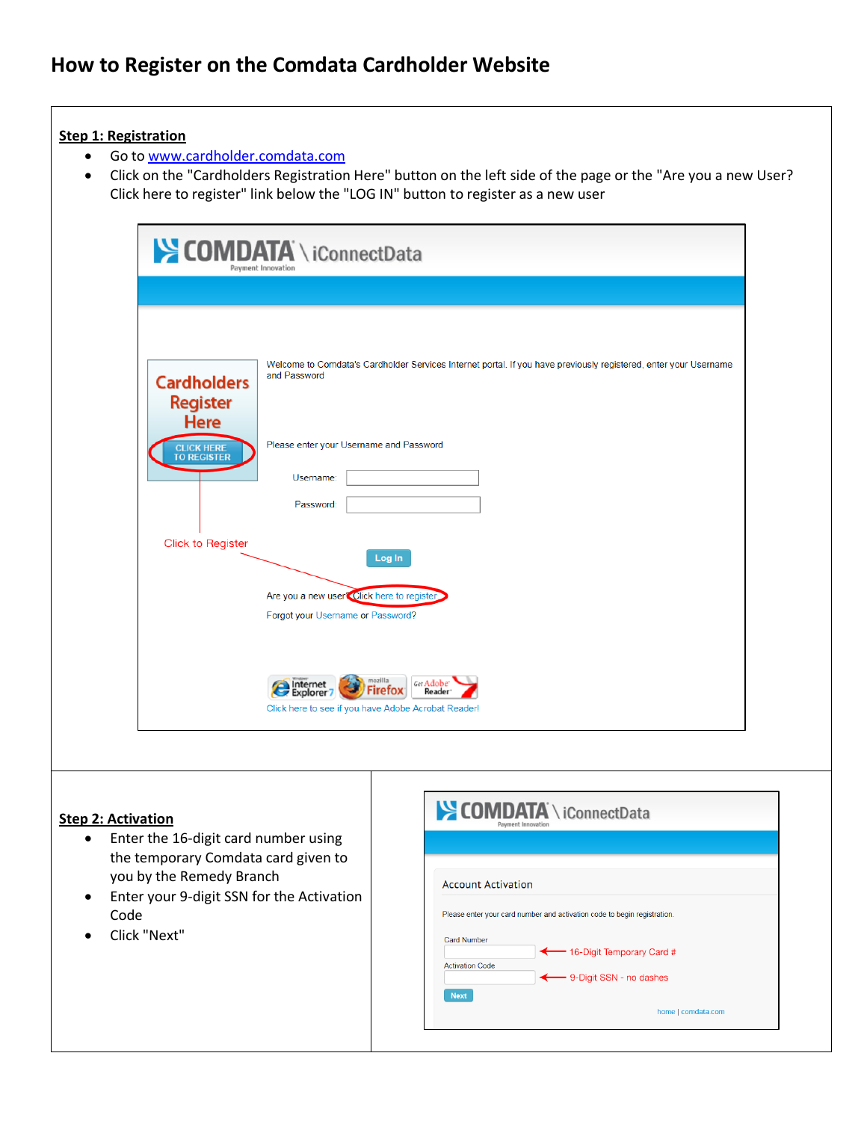# **How to Register on the Comdata Cardholder Website**

## **Step 1: Registration**

- Go to [www.cardholder.comdata.com](https://w6.iconnectdata.com/chth/Controller?XFunction=LoginPage)
- Click on the "Cardholders Registration Here" button on the left side of the page or the "Are you a new User? Click here to register" link below the "LOG IN" button to register as a new user

|                                                      | COMDATA \iConnectData<br>Payment Innovation                                                                                                                |
|------------------------------------------------------|------------------------------------------------------------------------------------------------------------------------------------------------------------|
|                                                      |                                                                                                                                                            |
| <b>Cardholders</b><br><b>Register</b><br><b>Here</b> | Welcome to Comdata's Cardholder Services Internet portal. If you have previously registered, enter your Username<br>and Password                           |
| <b>CLICK HERE</b><br>TO REGISTER                     | Please enter your Username and Password<br>Username:                                                                                                       |
|                                                      | Password:                                                                                                                                                  |
| <b>Click to Register</b>                             | Log In                                                                                                                                                     |
|                                                      | Are you a new user Click here to register.<br>Forgot your Username or Password?                                                                            |
|                                                      | mozilla<br>Get Adobe <sup>®</sup><br>Explorer <sup>7</sup><br><b>Firefox</b><br>Reader <sup>®</sup><br>Click here to see if you have Adobe Acrobat Reader! |

## **Step 2: Activation**

- Enter the 16-digit card number using the temporary Comdata card given to you by the Remedy Branch
- Enter your 9-digit SSN for the Activation Code
- Click "Next"

| <b>Account Activation</b> |                                                                          |
|---------------------------|--------------------------------------------------------------------------|
|                           | Please enter your card number and activation code to begin registration. |
| <b>Card Number</b>        |                                                                          |
|                           | ← 16-Digit Temporary Card #                                              |
| <b>Activation Code</b>    |                                                                          |
|                           | ← 9-Digit SSN - no dashes                                                |
|                           |                                                                          |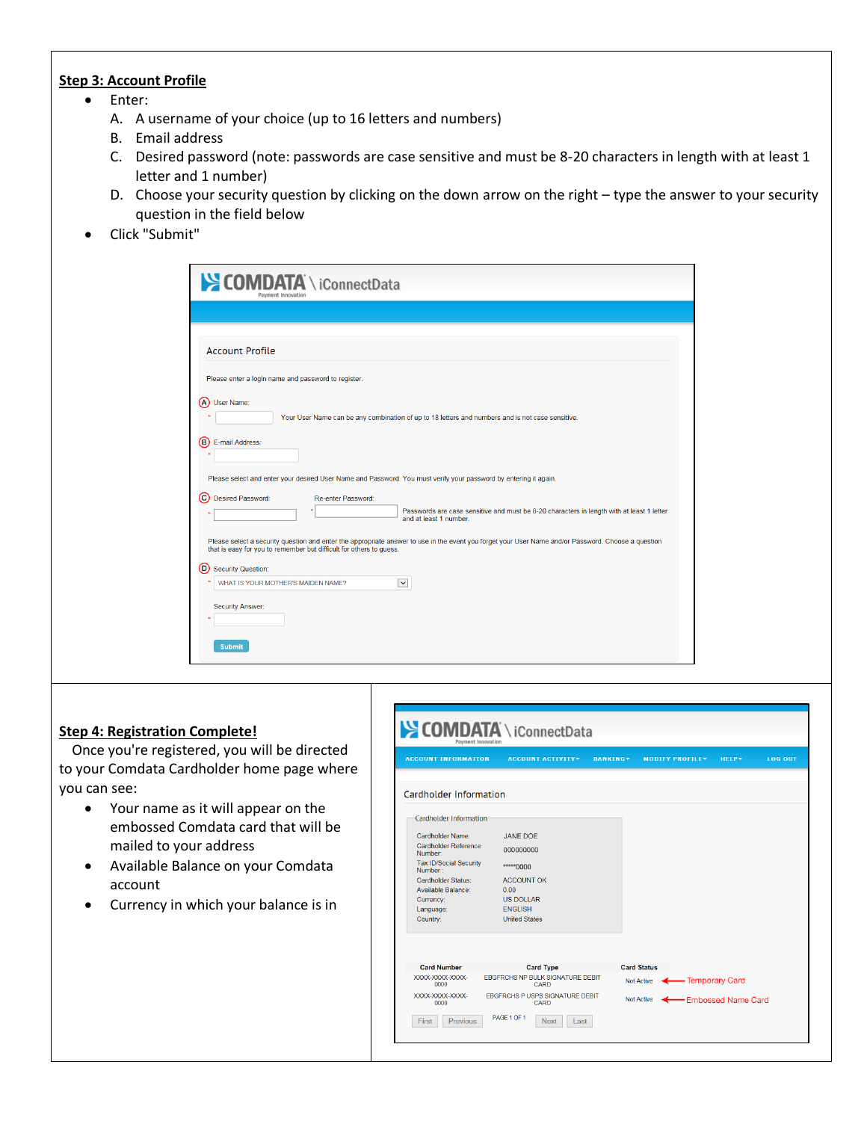## **Step 3: Account Profile**

- Enter:
	- A. A username of your choice (up to 16 letters and numbers)
	- B. Email address
	- C. Desired password (note: passwords are case sensitive and must be 8-20 characters in length with at least 1 letter and 1 number)
	- D. Choose your security question by clicking on the down arrow on the right type the answer to your security question in the field below
- Click "Submit"

|         | <b>Account Profile</b>                                                                                                                                                                                                                                          |
|---------|-----------------------------------------------------------------------------------------------------------------------------------------------------------------------------------------------------------------------------------------------------------------|
|         |                                                                                                                                                                                                                                                                 |
|         | Please enter a login name and password to register.                                                                                                                                                                                                             |
|         | (A) User Name:                                                                                                                                                                                                                                                  |
|         | Your User Name can be any combination of up to 18 letters and numbers and is not case sensitive.                                                                                                                                                                |
| ⊙       | Please select and enter your desired User Name and Password. You must verify your password by entering it again.<br><b>Desired Password:</b><br>Re-enter Password:<br>Passwords are case sensitive and must be 8-20 characters in length with at least 1 letter |
|         |                                                                                                                                                                                                                                                                 |
|         | Please select a security question and enter the appropriate answer to use in the event you forget your User Name and/or Password. Choose a question<br>that is easy for you to remember but difficult for others to guess.                                      |
|         | <b>Security Question:</b>                                                                                                                                                                                                                                       |
| $\circ$ |                                                                                                                                                                                                                                                                 |
|         | WHAT IS YOUR MOTHER'S MAIDEN NAME?<br>$\checkmark$                                                                                                                                                                                                              |
|         | and at least 1 number.                                                                                                                                                                                                                                          |

## **Step 4: Registration Complete!**

Once you're registered, you will be directed to your Comdata Cardholder home page where you can see:

- Your name as it will appear on the embossed Comdata card that will be mailed to your address
- Available Balance on your Comdata account
- Currency in which your balance is in

| <b>ACCOUNT INFORMATION</b>         | <b>ACCOUNT ACTIVITY</b>                         | <b>BANKING</b><br><b>MODIFY PROFILE</b> |                  | <b>HELP</b> <sup>*</sup> | <b>LOG OUT</b> |
|------------------------------------|-------------------------------------------------|-----------------------------------------|------------------|--------------------------|----------------|
| Cardholder Information             |                                                 |                                         |                  |                          |                |
| <b>Cardholder Information</b>      |                                                 |                                         |                  |                          |                |
| Cardholder Name:                   | JANE DOE                                        |                                         |                  |                          |                |
| Cardholder Reference<br>Number:    | 000000000                                       |                                         |                  |                          |                |
| Tax ID/Social Security<br>Number : | ***** 0000                                      |                                         |                  |                          |                |
| Cardholder Status:                 | <b>ACCOUNT OK</b>                               |                                         |                  |                          |                |
| Available Balance:                 | 0.00                                            |                                         |                  |                          |                |
| Currency:                          | <b>US DOLLAR</b>                                |                                         |                  |                          |                |
| Language:                          | <b>ENGLISH</b>                                  |                                         |                  |                          |                |
| Country:                           | <b>United States</b>                            |                                         |                  |                          |                |
|                                    |                                                 |                                         |                  |                          |                |
| <b>Card Number</b>                 | <b>Card Type</b>                                | <b>Card Status</b>                      |                  |                          |                |
| XXXX-XXXX-XXXX-<br>0000            | <b>EBGFRCHS NP BULK SIGNATURE DEBIT</b><br>CARD | Not Active                              | - Temporary Card |                          |                |
| XXXX-XXXX-XXXX-<br>0000            | <b>EBGFRCHS P USPS SIGNATURE DEBIT</b><br>CARD  | <b>Not Active</b>                       |                  | -Embossed Name Card      |                |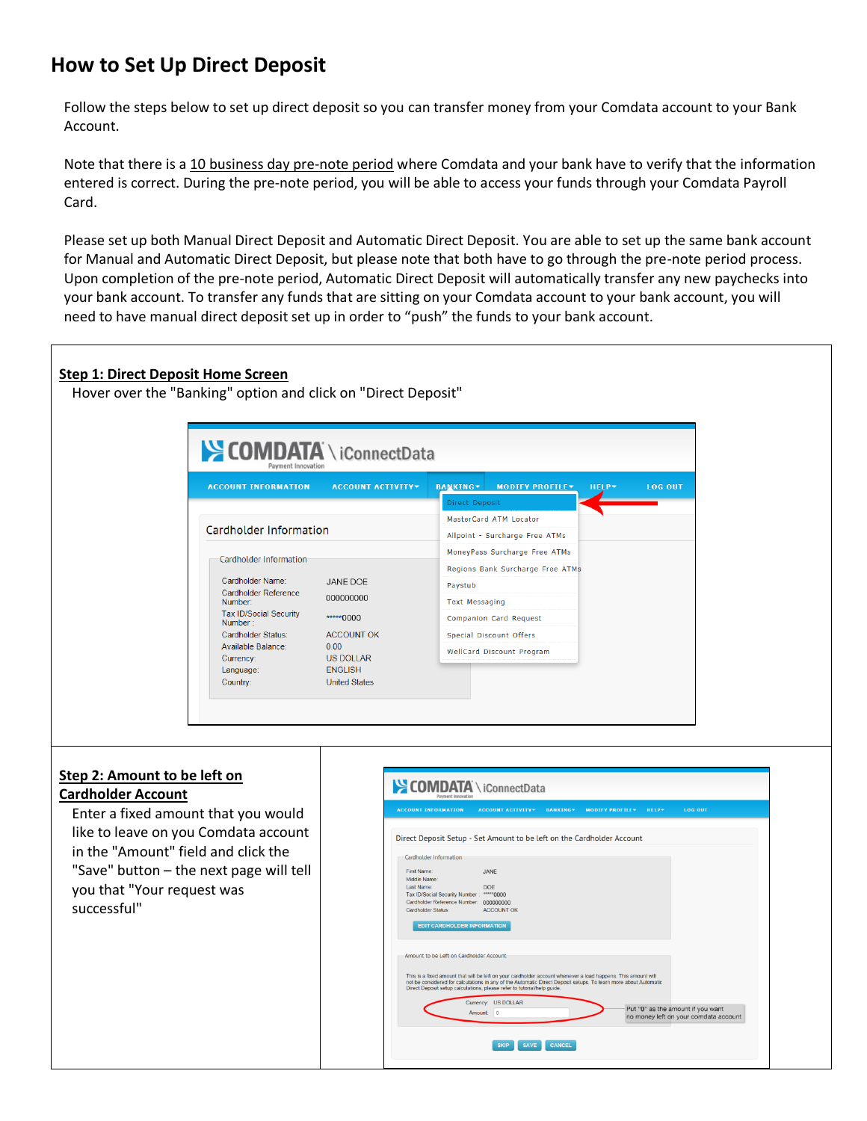# **How to Set Up Direct Deposit**

Follow the steps below to set up direct deposit so you can transfer money from your Comdata account to your Bank Account.

Note that there is a 10 business day pre-note period where Comdata and your bank have to verify that the information entered is correct. During the pre-note period, you will be able to access your funds through your Comdata Payroll Card.

Please set up both Manual Direct Deposit and Automatic Direct Deposit. You are able to set up the same bank account for Manual and Automatic Direct Deposit, but please note that both have to go through the pre-note period process. Upon completion of the pre-note period, Automatic Direct Deposit will automatically transfer any new paychecks into your bank account. To transfer any funds that are sitting on your Comdata account to your bank account, you will need to have manual direct deposit set up in order to "push" the funds to your bank account.

## **Step 1: Direct Deposit Home Screen**

Hover over the "Banking" option and click on "Direct Deposit"

| <b>ACCOUNT INFORMATION</b>               | <b>ACCOUNT ACTIVITY*</b>               | <b>BANKING</b>                 | <b>MODIFY PROFILE*</b>           | <b>HELP</b> <sup>*</sup> | <b>LOG OUT</b> |
|------------------------------------------|----------------------------------------|--------------------------------|----------------------------------|--------------------------|----------------|
|                                          |                                        | Direct Deposit                 |                                  |                          |                |
|                                          |                                        |                                | MasterCard ATM Locator           |                          |                |
| Cardholder Information                   |                                        | Allpoint - Surcharge Free ATMs |                                  |                          |                |
| Cardholder Information                   |                                        | MoneyPass Surcharge Free ATMs  |                                  |                          |                |
|                                          |                                        |                                | Regions Bank Surcharge Free ATMs |                          |                |
| Cardholder Name:                         | JANE DOE                               | Paystub                        |                                  |                          |                |
| Cardholder Reference<br>Number:          | 000000000                              | <b>Text Messaging</b>          |                                  |                          |                |
| <b>Tax ID/Social Security</b><br>Number: | *****0000                              |                                | Companion Card Request           |                          |                |
| Cardholder Status:                       | <b>ACCOUNT OK</b><br>0.00<br>US DOLLAR | Special Discount Offers        |                                  |                          |                |
| Available Balance:<br>Currency:          |                                        |                                | WellCard Discount Program        |                          |                |
| Language:<br>Country:                    | <b>ENGLISH</b><br><b>United States</b> |                                |                                  |                          |                |

## **Step 2: Amount to be left on Cardholder Account**

Enter a fixed amount that you would like to leave on you Comdata account in the "Amount" field and click the "Save" button – the next page will tell you that "Your request was successful"

| <b>ACCOUNT INFORMATION</b>                                                                                                                                                                 | <b>ACCOUNT ACTIVITY*</b> | <b>BANKING</b> <sup>*</sup> | <b>MODIFY PROFILEY</b> | <b>HELP</b> <sup>*</sup> | <b>LOG OUT</b>                                                             |  |
|--------------------------------------------------------------------------------------------------------------------------------------------------------------------------------------------|--------------------------|-----------------------------|------------------------|--------------------------|----------------------------------------------------------------------------|--|
| Direct Deposit Setup - Set Amount to be left on the Cardholder Account                                                                                                                     |                          |                             |                        |                          |                                                                            |  |
| Cardholder Information                                                                                                                                                                     |                          |                             |                        |                          |                                                                            |  |
| First Name:<br>Middle Name:                                                                                                                                                                | .IANF                    |                             |                        |                          |                                                                            |  |
| Last Name:                                                                                                                                                                                 | <b>DOE</b>               |                             |                        |                          |                                                                            |  |
| Tax ID/Social Security Number:                                                                                                                                                             | ***** 0000               |                             |                        |                          |                                                                            |  |
| Cardholder Reference Number: 000000000                                                                                                                                                     |                          |                             |                        |                          |                                                                            |  |
| <b>Cardholder Status:</b>                                                                                                                                                                  | <b>ACCOUNT OK</b>        |                             |                        |                          |                                                                            |  |
| <b>EDIT CARDHOLDER INFORMATION</b>                                                                                                                                                         |                          |                             |                        |                          |                                                                            |  |
|                                                                                                                                                                                            |                          |                             |                        |                          |                                                                            |  |
| Amount to be Left on Cardholder Account                                                                                                                                                    |                          |                             |                        |                          |                                                                            |  |
|                                                                                                                                                                                            |                          |                             |                        |                          |                                                                            |  |
| This is a fixed amount that will be left on your cardholder account whenever a load happens. This amount will                                                                              |                          |                             |                        |                          |                                                                            |  |
| not be considered for calculations in any of the Automatic Direct Deposit setups. To learn more about Automatic<br>Direct Deposit setup calculations, please refer to tutorial/help quide. |                          |                             |                        |                          |                                                                            |  |
|                                                                                                                                                                                            |                          |                             |                        |                          |                                                                            |  |
|                                                                                                                                                                                            | Currency: US DOLLAR      |                             |                        |                          |                                                                            |  |
|                                                                                                                                                                                            | Amount: 0                |                             |                        |                          | Put "0" as the amount if you want<br>no money left on your comdata account |  |
|                                                                                                                                                                                            |                          |                             |                        |                          |                                                                            |  |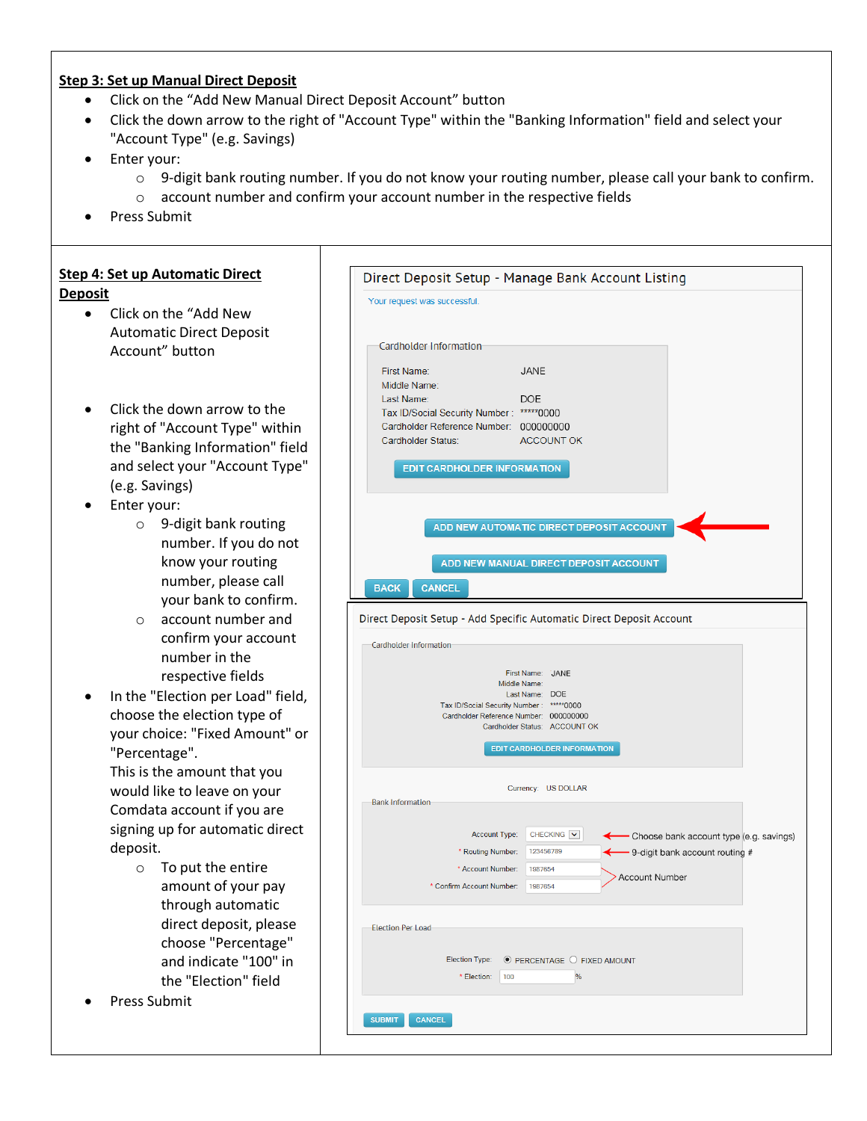#### **Step 3: Set up Manual Direct Deposit**

- Click on the "Add New Manual Direct Deposit Account" button
- Click the down arrow to the right of "Account Type" within the "Banking Information" field and select your "Account Type" (e.g. Savings)
- Enter your:
	- o 9-digit bank routing number. If you do not know your routing number, please call your bank to confirm.
	- o account number and confirm your account number in the respective fields
- Press Submit

## **Step 4: Set up Automatic Direct Deposit**

- Click on the "Add New Automatic Direct Deposit Account" button
- Click the down arrow to the right of "Account Type" within the "Banking Information" field and select your "Account Type" (e.g. Savings)
- Enter your:
	- o 9-digit bank routing number. If you do not know your routing number, please call your bank to confirm.
	- o account number and confirm your account number in the respective fields
- In the "Election per Load" field, choose the election type of your choice: "Fixed Amount" or "Percentage".

This is the amount that you would like to leave on your Comdata account if you are signing up for automatic direct deposit.

- o To put the entire amount of your pay through automatic direct deposit, please choose "Percentage" and indicate "100" in the "Election" field
- Press Submit

|                                                                                       | Direct Deposit Setup - Manage Bank Account Listing                                                                                                                             |
|---------------------------------------------------------------------------------------|--------------------------------------------------------------------------------------------------------------------------------------------------------------------------------|
| Your request was successful.                                                          |                                                                                                                                                                                |
| Cardholder Information                                                                |                                                                                                                                                                                |
| First Name:<br>Middle Name:<br>Last Name:<br>Tax ID/Social Security Number: *****0000 | JANE<br><b>DOE</b>                                                                                                                                                             |
| Cardholder Reference Number: 000000000<br>Cardholder Status:                          | <b>ACCOUNT OK</b><br><b>EDIT CARDHOLDER INFORMATION</b>                                                                                                                        |
|                                                                                       | ADD NEW AUTOMATIC DIRECT DEPOSIT ACCOUNT                                                                                                                                       |
| <b>BACK</b><br><b>CANCEL</b>                                                          | ADD NEW MANUAL DIRECT DEPOSIT ACCOUNT                                                                                                                                          |
|                                                                                       | Direct Deposit Setup - Add Specific Automatic Direct Deposit Account                                                                                                           |
| Cardholder Information                                                                |                                                                                                                                                                                |
|                                                                                       | First Name: JANE<br>Middle Name:<br>Last Name: DOE<br>Tax ID/Social Security Number: *****0000<br>Cardholder Reference Number: 000000000<br>Cardholder Status: ACCOUNT OK      |
|                                                                                       | EDIT CARDHOLDER INFORMATION                                                                                                                                                    |
| <b>Bank Information</b>                                                               | Currency: US DOLLAR                                                                                                                                                            |
|                                                                                       | CHECKING V<br>Account Type:<br>- Choose bank account type (e.g. savings)<br>* Routing Number:<br>123456789<br>- 9-digit bank account routing #<br>* Account Number:<br>1987654 |
| * Confirm Account Number:                                                             | <b>Account Number</b><br>1987654                                                                                                                                               |
| <b>Election Per Load</b>                                                              |                                                                                                                                                                                |
| Election Type:<br>* Election:                                                         | $\bullet$ PERCENTAGE $\circ$ FIXED AMOUNT<br>100<br>%                                                                                                                          |
|                                                                                       |                                                                                                                                                                                |